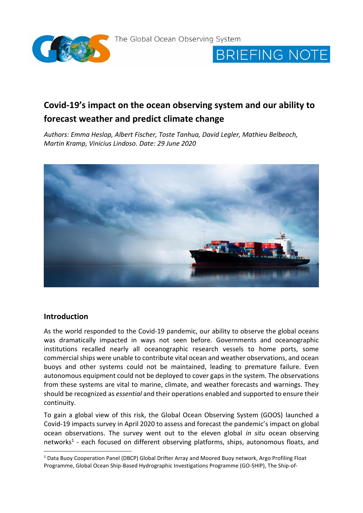

**BRIEFING NOTE** 

# **Covid-19's impact on the ocean observing system and our ability to forecast weather and predict climate change**

*Authors: Emma Heslop, Albert Fischer, Toste Tanhua, David Legler, Mathieu Belbeoch, Martin Kramp, Vinicius Lindoso. Date: 29 June 2020* 



#### **Introduction**

-

As the world responded to the Covid-19 pandemic, our ability to observe the global oceans was dramatically impacted in ways not seen before. Governments and oceanographic institutions recalled nearly all oceanographic research vessels to home ports, some commercial ships were unable to contribute vital ocean and weather observations, and ocean buoys and other systems could not be maintained, leading to premature failure. Even autonomous equipment could not be deployed to cover gaps in the system. The observations from these systems are vital to marine, climate, and weather forecasts and warnings. They should be recognized as *essential* and their operations enabled and supported to ensure their continuity.

To gain a global view of this risk, the Global Ocean Observing System (GOOS) launched a Covid-19 impacts survey in April 2020 to assess and forecast the pandemic's impact on global ocean observations. The survey went out to the eleven global *in situ* ocean observing networks<sup>1</sup> - each focused on different observing platforms, ships, autonomous floats, and

<sup>1</sup> Data Buoy Cooperation Panel (DBCP) Global Drifter Array and Moored Buoy network, Argo Profiling Float Programme, Global Ocean Ship-Based Hydrographic Investigations Programme (GO-SHIP), The Ship-of-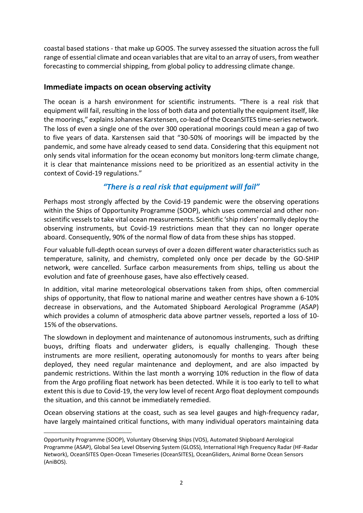coastal based stations - that make up GOOS. The survey assessed the situation across the full range of essential climate and ocean variables that are vital to an array of users, from weather forecasting to commercial shipping, from global policy to addressing climate change.

#### **Immediate impacts on ocean observing activity**

The ocean is a harsh environment for scientific instruments. "There is a real risk that equipment will fail, resulting in the loss of both data and potentially the equipment itself, like the moorings," explains Johannes Karstensen, co-lead of the OceanSITES time-series network. The loss of even a single one of the over 300 operational moorings could mean a gap of two to five years of data. Karstensen said that "30-50% of moorings will be impacted by the pandemic, and some have already ceased to send data. Considering that this equipment not only sends vital information for the ocean economy but monitors long-term climate change, it is clear that maintenance missions need to be prioritized as an essential activity in the context of Covid-19 regulations."

## *"There is a real risk that equipment will fail"*

Perhaps most strongly affected by the Covid-19 pandemic were the observing operations within the Ships of Opportunity Programme (SOOP), which uses commercial and other nonscientific vessels to take vital ocean measurements. Scientific 'ship riders' normally deploy the observing instruments, but Covid-19 restrictions mean that they can no longer operate aboard. Consequently, 90% of the normal flow of data from these ships has stopped.

Four valuable full-depth ocean surveys of over a dozen different water characteristics such as temperature, salinity, and chemistry, completed only once per decade by the GO-SHIP network, were cancelled. Surface carbon measurements from ships, telling us about the evolution and fate of greenhouse gases, have also effectively ceased.

In addition, vital marine meteorological observations taken from ships, often commercial ships of opportunity, that flow to national marine and weather centres have shown a 6-10% decrease in observations, and the Automated Shipboard Aerological Programme (ASAP) which provides a column of atmospheric data above partner vessels, reported a loss of 10- 15% of the observations.

The slowdown in deployment and maintenance of autonomous instruments, such as drifting buoys, drifting floats and underwater gliders, is equally challenging. Though these instruments are more resilient, operating autonomously for months to years after being deployed, they need regular maintenance and deployment, and are also impacted by pandemic restrictions. Within the last month a worrying 10% reduction in the flow of data from the Argo profiling float network has been detected. While it is too early to tell to what extent this is due to Covid-19, the very low level of recent Argo float deployment compounds the situation, and this cannot be immediately remedied.

Ocean observing stations at the coast, such as sea level gauges and high-frequency radar, have largely maintained critical functions, with many individual operators maintaining data

Opportunity Programme (SOOP), Voluntary Observing Ships (VOS), Automated Shipboard Aerological Programme (ASAP), Global Sea Level Observing System (GLOSS), International High Frequency Radar (HF-Radar Network), OceanSITES Open-Ocean Timeseries (OceanSITES), OceanGliders, Animal Borne Ocean Sensors (AniBOS).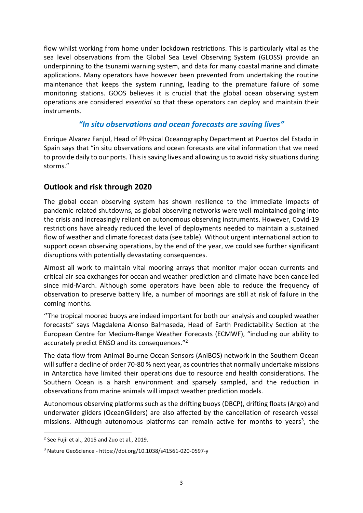flow whilst working from home under lockdown restrictions. This is particularly vital as the sea level observations from the Global Sea Level Observing System (GLOSS) provide an underpinning to the tsunami warning system, and data for many coastal marine and climate applications. Many operators have however been prevented from undertaking the routine maintenance that keeps the system running, leading to the premature failure of some monitoring stations. GOOS believes it is crucial that the global ocean observing system operations are considered *essential* so that these operators can deploy and maintain their instruments.

## *"In situ observations and ocean forecasts are saving lives"*

Enrique Alvarez Fanjul, Head of Physical Oceanography Department at Puertos del Estado in Spain says that "in situ observations and ocean forecasts are vital information that we need to provide daily to our ports. This is saving lives and allowing us to avoid risky situations during storms."

## **Outlook and risk through 2020**

The global ocean observing system has shown resilience to the immediate impacts of pandemic-related shutdowns, as global observing networks were well-maintained going into the crisis and increasingly reliant on autonomous observing instruments. However, Covid-19 restrictions have already reduced the level of deployments needed to maintain a sustained flow of weather and climate forecast data (see table). Without urgent international action to support ocean observing operations, by the end of the year, we could see further significant disruptions with potentially devastating consequences.

Almost all work to maintain vital mooring arrays that monitor major ocean currents and critical air-sea exchanges for ocean and weather prediction and climate have been cancelled since mid-March. Although some operators have been able to reduce the frequency of observation to preserve battery life, a number of moorings are still at risk of failure in the coming months.

''The tropical moored buoys are indeed important for both our analysis and coupled weather forecasts" says Magdalena Alonso Balmaseda, Head of Earth Predictability Section at the European Centre for Medium-Range Weather Forecasts (ECMWF), "including our ability to accurately predict ENSO and its consequences."<sup>2</sup>

The data flow from Animal Bourne Ocean Sensors (AniBOS) network in the Southern Ocean will suffer a decline of order 70-80 % next year, as countries that normally undertake missions in Antarctica have limited their operations due to resource and health considerations. The Southern Ocean is a harsh environment and sparsely sampled, and the reduction in observations from marine animals will impact weather prediction models.

Autonomous observing platforms such as the drifting buoys (DBCP), drifting floats (Argo) and underwater gliders (OceanGliders) are also affected by the cancellation of research vessel missions. Although autonomous platforms can remain active for months to years<sup>3</sup>, the

 $2$  See Fujii et al., 2015 and Zuo et al., 2019.

<sup>3</sup> Nature GeoScience - https://doi.org/10.1038/s41561-020-0597-y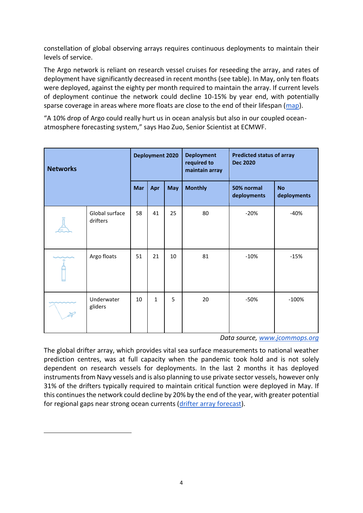constellation of global observing arrays requires continuous deployments to maintain their levels of service.

The Argo network is reliant on research vessel cruises for reseeding the array, and rates of deployment have significantly decreased in recent months (see table). In May, only ten floats were deployed, against the eighty per month required to maintain the array. If current levels of deployment continue the network could decline 10-15% by year end, with potentially sparse coverage in areas where more floats are close to the end of their lifespan [\(map\)](http://www.jcommops.org/ftp/Argo/Maps/age-hotspots.png).

"A 10% drop of Argo could really hurt us in ocean analysis but also in our coupled oceanatmosphere forecasting system," says Hao Zuo, Senior Scientist at ECMWF.

| <b>Networks</b> |                            | <b>Deployment 2020</b> |              |            | <b>Deployment</b><br>required to<br>maintain array | <b>Predicted status of array</b><br><b>Dec 2020</b> |                          |
|-----------------|----------------------------|------------------------|--------------|------------|----------------------------------------------------|-----------------------------------------------------|--------------------------|
|                 |                            | Mar                    | Apr          | <b>May</b> | <b>Monthly</b>                                     | 50% normal<br>deployments                           | <b>No</b><br>deployments |
|                 | Global surface<br>drifters | 58                     | 41           | 25         | 80                                                 | $-20%$                                              | $-40%$                   |
|                 | Argo floats                | 51                     | 21           | 10         | 81                                                 | $-10%$                                              | $-15%$                   |
|                 | Underwater<br>gliders      | 10                     | $\mathbf{1}$ | 5          | 20                                                 | -50%                                                | $-100%$                  |

*Data source, [www.jcommops.org](http://www.jcommops.org/)*

The global drifter array, which provides vital sea surface measurements to national weather prediction centres, was at full capacity when the pandemic took hold and is not solely dependent on research vessels for deployments. In the last 2 months it has deployed instruments from Navy vessels and is also planning to use private sector vessels, however only 31% of the drifters typically required to maintain critical function were deployed in May. If this continues the network could decline by 20% by the end of the year, with greater potential for regional gaps near strong ocean currents [\(drifter array forecast\)](https://www.aoml.noaa.gov/phod/graphics/dacdata/forecast90d.gif).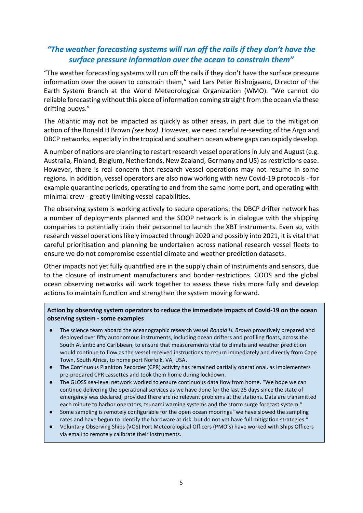# *"The weather forecasting systems will run off the rails if they don't have the surface pressure information over the ocean to constrain them"*

"The weather forecasting systems will run off the rails if they don't have the surface pressure information over the ocean to constrain them," said Lars Peter Riishojgaard, Director of the Earth System Branch at the World Meteorological Organization (WMO). "We cannot do reliable forecasting without this piece of information coming straight from the ocean via these drifting buoys."

The Atlantic may not be impacted as quickly as other areas, in part due to the mitigation action of the Ronald H Brown *(see box)*. However, we need careful re-seeding of the Argo and DBCP networks, especially in the tropical and southern ocean where gaps can rapidly develop.

A number of nations are planning to restart research vessel operations in July and August (e.g. Australia, Finland, Belgium, Netherlands, New Zealand, Germany and US) as restrictions ease. However, there is real concern that research vessel operations may not resume in some regions. In addition, vessel operators are also now working with new Covid-19 protocols - for example quarantine periods, operating to and from the same home port, and operating with minimal crew - greatly limiting vessel capabilities.

The observing system is working actively to secure operations: the DBCP drifter network has a number of deployments planned and the SOOP network is in dialogue with the shipping companies to potentially train their personnel to launch the XBT instruments. Even so, with research vessel operations likely impacted through 2020 and possibly into 2021, it is vital that careful prioritisation and planning be undertaken across national research vessel fleets to ensure we do not compromise essential climate and weather prediction datasets.

Other impacts not yet fully quantified are in the supply chain of instruments and sensors, due to the closure of instrument manufacturers and border restrictions. GOOS and the global ocean observing networks will work together to assess these risks more fully and develop actions to maintain function and strengthen the system moving forward.

**Action by observing system operators to reduce the immediate impacts of Covid-19 on the ocean observing system - some examples**

- The science team aboard the oceanographic research vessel *Ronald H. Brown* proactively prepared and deployed over fifty autonomous instruments, including ocean drifters and profiling floats, across the South Atlantic and Caribbean, to ensure that measurements vital to climate and weather prediction would continue to flow as the vessel received instructions to return immediately and directly from Cape Town, South Africa, to home port Norfolk, VA, USA.
- The Continuous Plankton Recorder (CPR) activity has remained partially operational, as implementers pre-prepared CPR cassettes and took them home during lockdown.
- The GLOSS sea-level network worked to ensure continuous data flow from home. "We hope we can continue delivering the operational services as we have done for the last 25 days since the state of emergency was declared, provided there are no relevant problems at the stations. Data are transmitted each minute to harbor operators, tsunami warning systems and the storm surge forecast system."
- Some sampling is remotely configurable for the open ocean moorings "we have slowed the sampling rates and have begun to identify the hardware at risk, but do not yet have full mitigation strategies."
- Voluntary Observing Ships (VOS) Port Meteorological Officers (PMO's) have worked with Ships Officers via email to remotely calibrate their instruments.